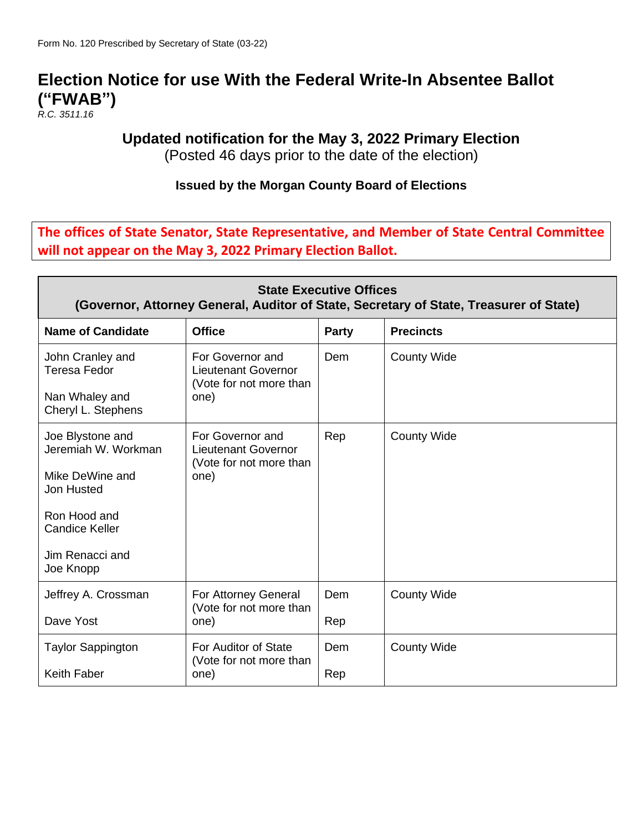# **Election Notice for use With the Federal Write-In Absentee Ballot ("FWAB")**

*R.C. 3511.16*

### **Updated notification for the May 3, 2022 Primary Election**

(Posted 46 days prior to the date of the election)

#### **Issued by the Morgan County Board of Elections**

**The offices of State Senator, State Representative, and Member of State Central Committee will not appear on the May 3, 2022 Primary Election Ballot.**

| <b>State Executive Offices</b><br>(Governor, Attorney General, Auditor of State, Secretary of State, Treasurer of State) |                                                                           |       |                    |  |
|--------------------------------------------------------------------------------------------------------------------------|---------------------------------------------------------------------------|-------|--------------------|--|
| <b>Name of Candidate</b>                                                                                                 | <b>Office</b>                                                             | Party | <b>Precincts</b>   |  |
| John Cranley and<br>Teresa Fedor                                                                                         | For Governor and<br><b>Lieutenant Governor</b><br>(Vote for not more than | Dem   | <b>County Wide</b> |  |
| Nan Whaley and<br>Cheryl L. Stephens                                                                                     | one)                                                                      |       |                    |  |
| Joe Blystone and<br>Jeremiah W. Workman                                                                                  | For Governor and<br><b>Lieutenant Governor</b><br>(Vote for not more than | Rep   | <b>County Wide</b> |  |
| Mike DeWine and<br>Jon Husted                                                                                            | one)                                                                      |       |                    |  |
| Ron Hood and<br><b>Candice Keller</b>                                                                                    |                                                                           |       |                    |  |
| Jim Renacci and<br>Joe Knopp                                                                                             |                                                                           |       |                    |  |
| Jeffrey A. Crossman                                                                                                      | For Attorney General<br>(Vote for not more than                           | Dem   | <b>County Wide</b> |  |
| Dave Yost                                                                                                                | one)                                                                      | Rep   |                    |  |
| <b>Taylor Sappington</b>                                                                                                 | For Auditor of State<br>(Vote for not more than                           | Dem   | <b>County Wide</b> |  |
| <b>Keith Faber</b>                                                                                                       | one)                                                                      | Rep   |                    |  |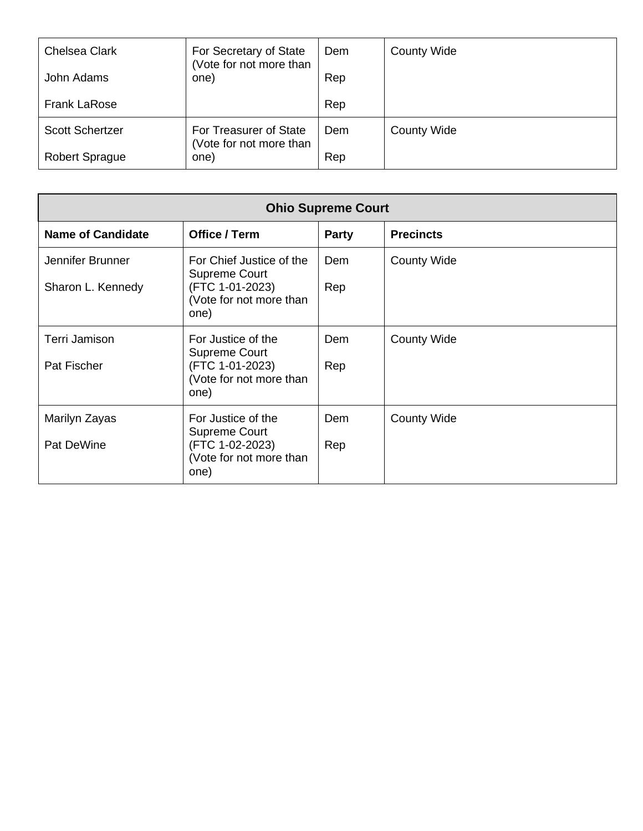| <b>Chelsea Clark</b>   | For Secretary of State<br>(Vote for not more than | Dem | <b>County Wide</b> |
|------------------------|---------------------------------------------------|-----|--------------------|
| John Adams             | one)                                              | Rep |                    |
| <b>Frank LaRose</b>    |                                                   | Rep |                    |
| <b>Scott Schertzer</b> | For Treasurer of State                            | Dem | <b>County Wide</b> |
| <b>Robert Sprague</b>  | (Vote for not more than<br>one)                   | Rep |                    |

| <b>Ohio Supreme Court</b>             |                                                                                                  |              |                    |
|---------------------------------------|--------------------------------------------------------------------------------------------------|--------------|--------------------|
| <b>Name of Candidate</b>              | Office / Term                                                                                    | <b>Party</b> | <b>Precincts</b>   |
| Jennifer Brunner<br>Sharon L. Kennedy | For Chief Justice of the<br>Supreme Court<br>(FTC 1-01-2023)<br>(Vote for not more than<br>one)  | Dem<br>Rep   | <b>County Wide</b> |
| Terri Jamison<br>Pat Fischer          | For Justice of the<br><b>Supreme Court</b><br>(FTC 1-01-2023)<br>(Vote for not more than<br>one) | Dem<br>Rep   | <b>County Wide</b> |
| Marilyn Zayas<br>Pat DeWine           | For Justice of the<br><b>Supreme Court</b><br>(FTC 1-02-2023)<br>(Vote for not more than<br>one) | Dem<br>Rep   | <b>County Wide</b> |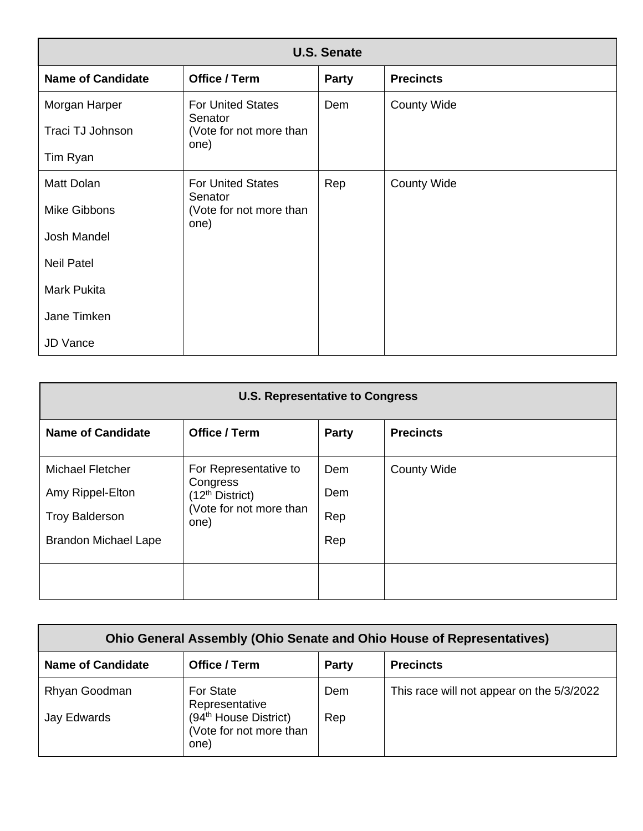| <b>U.S. Senate</b>       |                                     |              |                    |  |
|--------------------------|-------------------------------------|--------------|--------------------|--|
| <b>Name of Candidate</b> | Office / Term                       | <b>Party</b> | <b>Precincts</b>   |  |
| Morgan Harper            | <b>For United States</b><br>Senator | Dem          | <b>County Wide</b> |  |
| Traci TJ Johnson         | (Vote for not more than<br>one)     |              |                    |  |
| Tim Ryan                 |                                     |              |                    |  |
| Matt Dolan               | <b>For United States</b><br>Senator | Rep          | <b>County Wide</b> |  |
| Mike Gibbons             | (Vote for not more than<br>one)     |              |                    |  |
| <b>Josh Mandel</b>       |                                     |              |                    |  |
| <b>Neil Patel</b>        |                                     |              |                    |  |
| Mark Pukita              |                                     |              |                    |  |
| Jane Timken              |                                     |              |                    |  |
| <b>JD Vance</b>          |                                     |              |                    |  |

| <b>U.S. Representative to Congress</b>                                                              |                                                                                                     |                          |                    |
|-----------------------------------------------------------------------------------------------------|-----------------------------------------------------------------------------------------------------|--------------------------|--------------------|
| <b>Name of Candidate</b>                                                                            | Office / Term                                                                                       | <b>Party</b>             | <b>Precincts</b>   |
| <b>Michael Fletcher</b><br>Amy Rippel-Elton<br><b>Troy Balderson</b><br><b>Brandon Michael Lape</b> | For Representative to<br>Congress<br>(12 <sup>th</sup> District)<br>(Vote for not more than<br>one) | Dem<br>Dem<br>Rep<br>Rep | <b>County Wide</b> |
|                                                                                                     |                                                                                                     |                          |                    |

| <b>Ohio General Assembly (Ohio Senate and Ohio House of Representatives)</b> |                                                                      |       |                                           |  |
|------------------------------------------------------------------------------|----------------------------------------------------------------------|-------|-------------------------------------------|--|
| <b>Name of Candidate</b>                                                     | Office / Term                                                        | Party | <b>Precincts</b>                          |  |
| Rhyan Goodman                                                                | <b>For State</b><br>Representative                                   | Dem   | This race will not appear on the 5/3/2022 |  |
| Jay Edwards                                                                  | (94 <sup>th</sup> House District)<br>(Vote for not more than<br>one) | Rep   |                                           |  |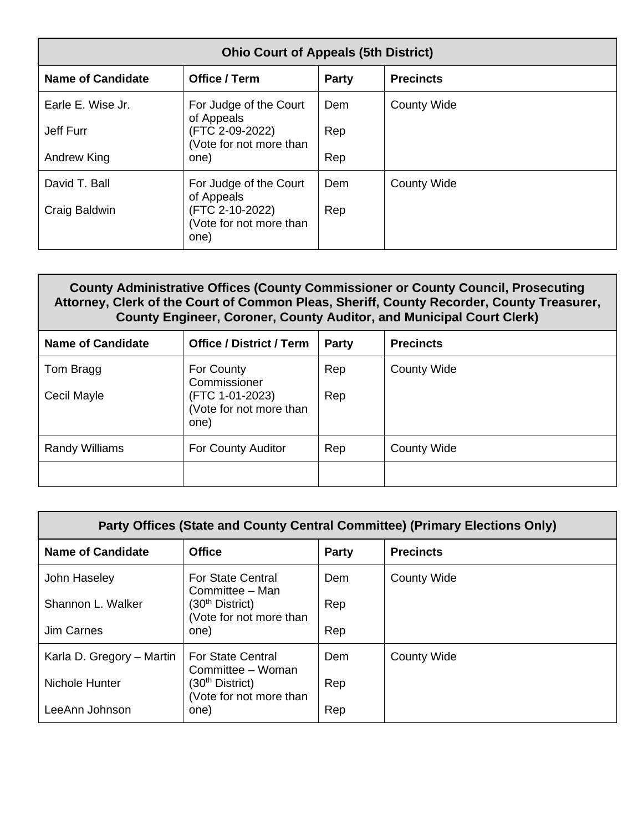| <b>Ohio Court of Appeals (5th District)</b> |                                                                  |       |                    |  |
|---------------------------------------------|------------------------------------------------------------------|-------|--------------------|--|
| <b>Name of Candidate</b>                    | Office / Term                                                    | Party | <b>Precincts</b>   |  |
| Earle E. Wise Jr.                           | For Judge of the Court                                           | Dem   | <b>County Wide</b> |  |
| Jeff Furr                                   | of Appeals<br>(FTC 2-09-2022)<br>(Vote for not more than         | Rep   |                    |  |
| Andrew King                                 | one)                                                             | Rep   |                    |  |
| David T. Ball                               | For Judge of the Court                                           | Dem   | <b>County Wide</b> |  |
| Craig Baldwin                               | of Appeals<br>(FTC 2-10-2022)<br>(Vote for not more than<br>one) | Rep   |                    |  |

#### **County Administrative Offices (County Commissioner or County Council, Prosecuting Attorney, Clerk of the Court of Common Pleas, Sheriff, County Recorder, County Treasurer, County Engineer, Coroner, County Auditor, and Municipal Court Clerk)**

| <b>Name of Candidate</b> | <b>Office / District / Term</b>               | Party      | <b>Precincts</b>   |
|--------------------------|-----------------------------------------------|------------|--------------------|
| Tom Bragg<br>Cecil Mayle | For County<br>Commissioner<br>(FTC 1-01-2023) | Rep<br>Rep | <b>County Wide</b> |
|                          | (Vote for not more than<br>one)               |            |                    |
| <b>Randy Williams</b>    | For County Auditor                            | Rep        | <b>County Wide</b> |
|                          |                                               |            |                    |

| Party Offices (State and County Central Committee) (Primary Elections Only) |                                                                           |       |                    |
|-----------------------------------------------------------------------------|---------------------------------------------------------------------------|-------|--------------------|
| <b>Name of Candidate</b>                                                    | <b>Office</b>                                                             | Party | <b>Precincts</b>   |
| John Haseley                                                                | <b>For State Central</b>                                                  | Dem   | <b>County Wide</b> |
| Shannon L. Walker                                                           | Committee - Man<br>(30 <sup>th</sup> District)<br>(Vote for not more than | Rep   |                    |
| <b>Jim Carnes</b>                                                           | one)                                                                      | Rep   |                    |
| Karla D. Gregory – Martin                                                   | <b>For State Central</b><br>Committee - Woman                             | Dem   | <b>County Wide</b> |
| Nichole Hunter                                                              | (30 <sup>th</sup> District)<br>(Vote for not more than                    | Rep   |                    |
| LeeAnn Johnson                                                              | one)                                                                      | Rep   |                    |